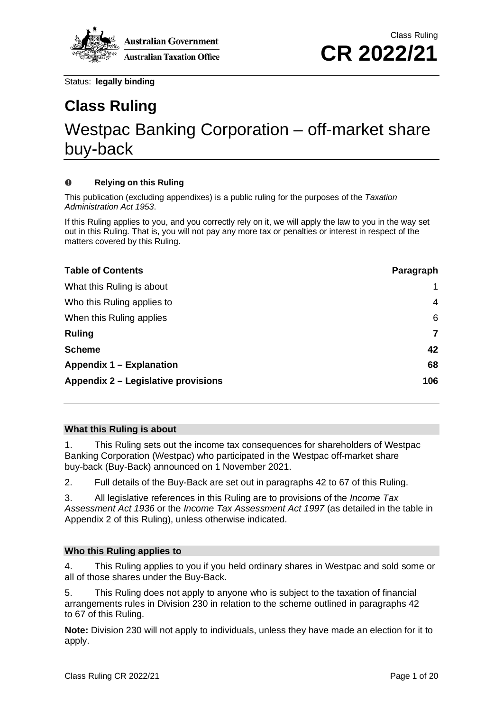

# **Class Ruling** Westpac Banking Corporation – off-market share buy-back

#### $\Omega$ **Relying on this Ruling**

This publication (excluding appendixes) is a public ruling for the purposes of the *Taxation Administration Act 1953*.

If this Ruling applies to you, and you correctly rely on it, we will apply the law to you in the way set out in this Ruling. That is, you will not pay any more tax or penalties or interest in respect of the matters covered by this Ruling.

| <b>Table of Contents</b>            | Paragraph |
|-------------------------------------|-----------|
| What this Ruling is about           | 1         |
| Who this Ruling applies to          | 4         |
| When this Ruling applies            | 6         |
| <b>Ruling</b>                       | 7         |
| <b>Scheme</b>                       | 42        |
| Appendix 1 – Explanation            | 68        |
| Appendix 2 – Legislative provisions | 106       |

#### **What this Ruling is about**

<span id="page-0-0"></span>1. This Ruling sets out the income tax consequences for shareholders of Westpac Banking Corporation (Westpac) who participated in the Westpac off-market share buy-back (Buy-Back) announced on 1 November 2021.

2. Full details of the Buy-Back are set out in paragraphs 42 to 67 of this Ruling.

3. All legislative references in this Ruling are to provisions of the *Income Tax Assessment Act 1936* or the *Income Tax Assessment Act 1997* (as detailed in the table in Appendix 2 of this Ruling), unless otherwise indicated.

## **Who this Ruling applies to**

<span id="page-0-1"></span>4. This Ruling applies to you if you held ordinary shares in Westpac and sold some or all of those shares under the Buy-Back.

5. This Ruling does not apply to anyone who is subject to the taxation of financial arrangements rules in Division 230 in relation to the scheme outlined in paragraphs 42 to 67 of this Ruling.

**Note:** Division 230 will not apply to individuals, unless they have made an election for it to apply.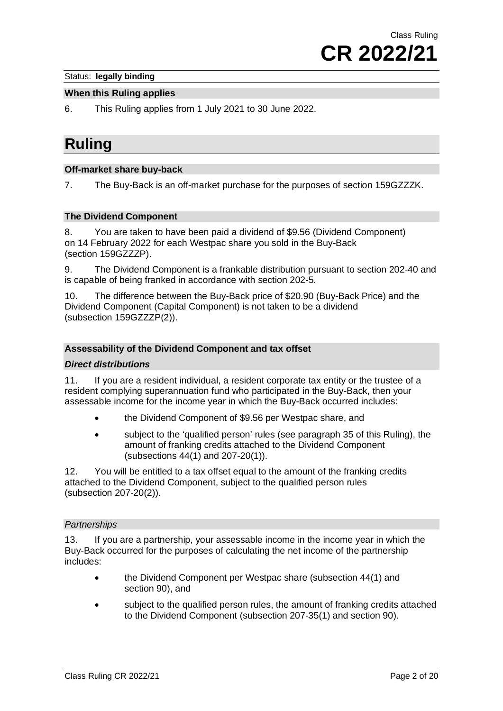#### **When this Ruling applies**

<span id="page-1-0"></span>6. This Ruling applies from 1 July 2021 to 30 June 2022.

# **Ruling**

#### **Off-market share buy-back**

<span id="page-1-1"></span>7. The Buy-Back is an off-market purchase for the purposes of section 159GZZZK.

# **The Dividend Component**

8. You are taken to have been paid a dividend of \$9.56 (Dividend Component) on 14 February 2022 for each Westpac share you sold in the Buy-Back (section 159GZZZP).

9. The Dividend Component is a frankable distribution pursuant to section 202-40 and is capable of being franked in accordance with section 202-5.

10. The difference between the Buy-Back price of \$20.90 (Buy-Back Price) and the Dividend Component (Capital Component) is not taken to be a dividend (subsection 159GZZZP(2)).

#### **Assessability of the Dividend Component and tax offset**

#### *Direct distributions*

11. If you are a resident individual, a resident corporate tax entity or the trustee of a resident complying superannuation fund who participated in the Buy-Back, then your assessable income for the income year in which the Buy-Back occurred includes:

- the Dividend Component of \$9.56 per Westpac share, and
- subject to the 'qualified person' rules (see paragraph 35 of this Ruling), the amount of franking credits attached to the Dividend Component (subsections 44(1) and 207-20(1)).

12. You will be entitled to a tax offset equal to the amount of the franking credits attached to the Dividend Component, subject to the qualified person rules (subsection 207-20(2)).

#### *Partnerships*

13. If you are a partnership, your assessable income in the income year in which the Buy-Back occurred for the purposes of calculating the net income of the partnership includes:

- the Dividend Component per Westpac share (subsection 44(1) and section 90), and
- subject to the qualified person rules, the amount of franking credits attached to the Dividend Component (subsection 207-35(1) and section 90).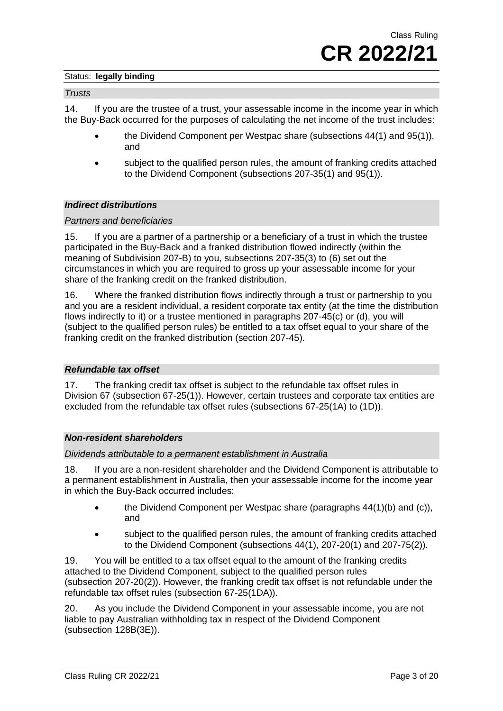#### *Trusts*

14. If you are the trustee of a trust, your assessable income in the income year in which the Buy-Back occurred for the purposes of calculating the net income of the trust includes:

- the Dividend Component per Westpac share (subsections 44(1) and 95(1)), and
- subject to the qualified person rules, the amount of franking credits attached to the Dividend Component (subsections 207-35(1) and 95(1)).

#### *Indirect distributions*

#### *Partners and beneficiaries*

15. If you are a partner of a partnership or a beneficiary of a trust in which the trustee participated in the Buy-Back and a franked distribution flowed indirectly (within the meaning of Subdivision 207-B) to you, subsections 207-35(3) to (6) set out the circumstances in which you are required to gross up your assessable income for your share of the franking credit on the franked distribution.

16. Where the franked distribution flows indirectly through a trust or partnership to you and you are a resident individual, a resident corporate tax entity (at the time the distribution flows indirectly to it) or a trustee mentioned in paragraphs 207-45(c) or (d), you will (subject to the qualified person rules) be entitled to a tax offset equal to your share of the franking credit on the franked distribution (section 207-45).

#### *Refundable tax offset*

17. The franking credit tax offset is subject to the refundable tax offset rules in Division 67 (subsection 67-25(1)). However, certain trustees and corporate tax entities are excluded from the refundable tax offset rules (subsections 67-25(1A) to (1D)).

#### *Non-resident shareholders*

#### *Dividends attributable to a permanent establishment in Australia*

18. If you are a non-resident shareholder and the Dividend Component is attributable to a permanent establishment in Australia, then your assessable income for the income year in which the Buy-Back occurred includes:

- the Dividend Component per Westpac share (paragraphs 44(1)(b) and (c)), and
- subject to the qualified person rules, the amount of franking credits attached to the Dividend Component (subsections 44(1), 207-20(1) and 207-75(2)).

19. You will be entitled to a tax offset equal to the amount of the franking credits attached to the Dividend Component, subject to the qualified person rules (subsection 207-20(2)). However, the franking credit tax offset is not refundable under the refundable tax offset rules (subsection 67-25(1DA)).

20. As you include the Dividend Component in your assessable income, you are not liable to pay Australian withholding tax in respect of the Dividend Component (subsection 128B(3E)).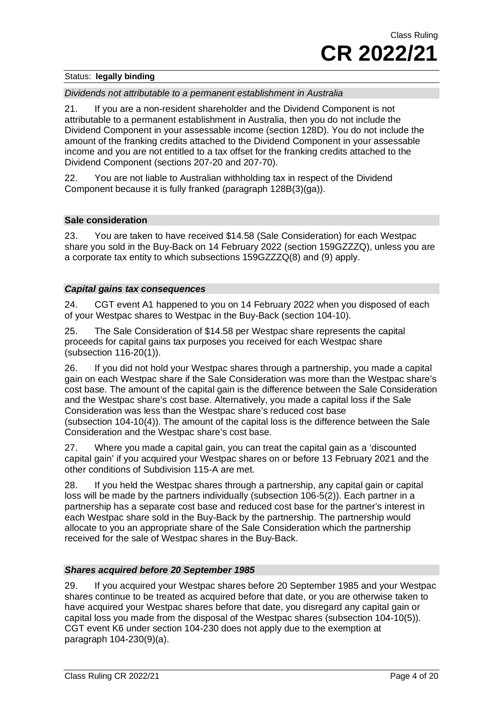### *Dividends not attributable to a permanent establishment in Australia*

21. If you are a non-resident shareholder and the Dividend Component is not attributable to a permanent establishment in Australia, then you do not include the Dividend Component in your assessable income (section 128D). You do not include the amount of the franking credits attached to the Dividend Component in your assessable income and you are not entitled to a tax offset for the franking credits attached to the Dividend Component (sections 207-20 and 207-70).

22. You are not liable to Australian withholding tax in respect of the Dividend Component because it is fully franked (paragraph 128B(3)(ga)).

#### **Sale consideration**

23. You are taken to have received \$14.58 (Sale Consideration) for each Westpac share you sold in the Buy-Back on 14 February 2022 (section 159GZZZQ), unless you are a corporate tax entity to which subsections 159GZZZQ(8) and (9) apply.

#### *Capital gains tax consequences*

24. CGT event A1 happened to you on 14 February 2022 when you disposed of each of your Westpac shares to Westpac in the Buy-Back (section 104-10).

25. The Sale Consideration of \$14.58 per Westpac share represents the capital proceeds for capital gains tax purposes you received for each Westpac share (subsection 116-20(1)).

26. If you did not hold your Westpac shares through a partnership, you made a capital gain on each Westpac share if the Sale Consideration was more than the Westpac share's cost base. The amount of the capital gain is the difference between the Sale Consideration and the Westpac share's cost base. Alternatively, you made a capital loss if the Sale Consideration was less than the Westpac share's reduced cost base (subsection 104-10(4)). The amount of the capital loss is the difference between the Sale Consideration and the Westpac share's cost base.

27. Where you made a capital gain, you can treat the capital gain as a 'discounted capital gain' if you acquired your Westpac shares on or before 13 February 2021 and the other conditions of Subdivision 115-A are met.

28. If you held the Westpac shares through a partnership, any capital gain or capital loss will be made by the partners individually (subsection 106-5(2)). Each partner in a partnership has a separate cost base and reduced cost base for the partner's interest in each Westpac share sold in the Buy-Back by the partnership. The partnership would allocate to you an appropriate share of the Sale Consideration which the partnership received for the sale of Westpac shares in the Buy-Back.

## *Shares acquired before 20 September 1985*

29. If you acquired your Westpac shares before 20 September 1985 and your Westpac shares continue to be treated as acquired before that date, or you are otherwise taken to have acquired your Westpac shares before that date, you disregard any capital gain or capital loss you made from the disposal of the Westpac shares (subsection 104-10(5)). CGT event K6 under section 104-230 does not apply due to the exemption at paragraph 104-230(9)(a).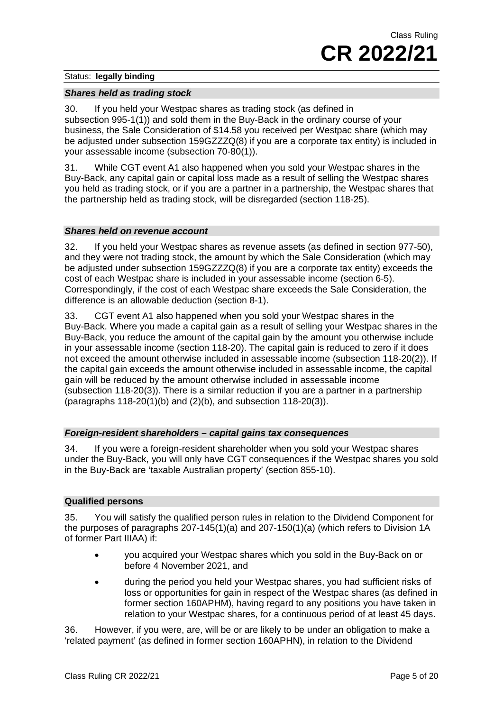#### *Shares held as trading stock*

30. If you held your Westpac shares as trading stock (as defined in subsection 995-1(1)) and sold them in the Buy-Back in the ordinary course of your business, the Sale Consideration of \$14.58 you received per Westpac share (which may be adjusted under subsection 159GZZZQ(8) if you are a corporate tax entity) is included in your assessable income (subsection 70-80(1)).

31. While CGT event A1 also happened when you sold your Westpac shares in the Buy-Back, any capital gain or capital loss made as a result of selling the Westpac shares you held as trading stock, or if you are a partner in a partnership, the Westpac shares that the partnership held as trading stock, will be disregarded (section 118-25).

#### *Shares held on revenue account*

32. If you held your Westpac shares as revenue assets (as defined in section 977-50), and they were not trading stock, the amount by which the Sale Consideration (which may be adjusted under subsection 159GZZZQ(8) if you are a corporate tax entity) exceeds the cost of each Westpac share is included in your assessable income (section 6-5). Correspondingly, if the cost of each Westpac share exceeds the Sale Consideration, the difference is an allowable deduction (section 8-1).

33. CGT event A1 also happened when you sold your Westpac shares in the Buy-Back. Where you made a capital gain as a result of selling your Westpac shares in the Buy-Back, you reduce the amount of the capital gain by the amount you otherwise include in your assessable income (section 118-20). The capital gain is reduced to zero if it does not exceed the amount otherwise included in assessable income (subsection 118-20(2)). If the capital gain exceeds the amount otherwise included in assessable income, the capital gain will be reduced by the amount otherwise included in assessable income (subsection 118-20(3)). There is a similar reduction if you are a partner in a partnership (paragraphs 118-20(1)(b) and (2)(b), and subsection 118-20(3)).

#### *Foreign-resident shareholders – capital gains tax consequences*

34. If you were a foreign-resident shareholder when you sold your Westpac shares under the Buy-Back, you will only have CGT consequences if the Westpac shares you sold in the Buy-Back are 'taxable Australian property' (section 855-10).

#### **Qualified persons**

35. You will satisfy the qualified person rules in relation to the Dividend Component for the purposes of paragraphs 207-145(1)(a) and 207-150(1)(a) (which refers to Division 1A of former Part IIIAA) if:

- you acquired your Westpac shares which you sold in the Buy-Back on or before 4 November 2021, and
- during the period you held your Westpac shares, you had sufficient risks of loss or opportunities for gain in respect of the Westpac shares (as defined in former section 160APHM), having regard to any positions you have taken in relation to your Westpac shares, for a continuous period of at least 45 days.

36. However, if you were, are, will be or are likely to be under an obligation to make a 'related payment' (as defined in former section 160APHN), in relation to the Dividend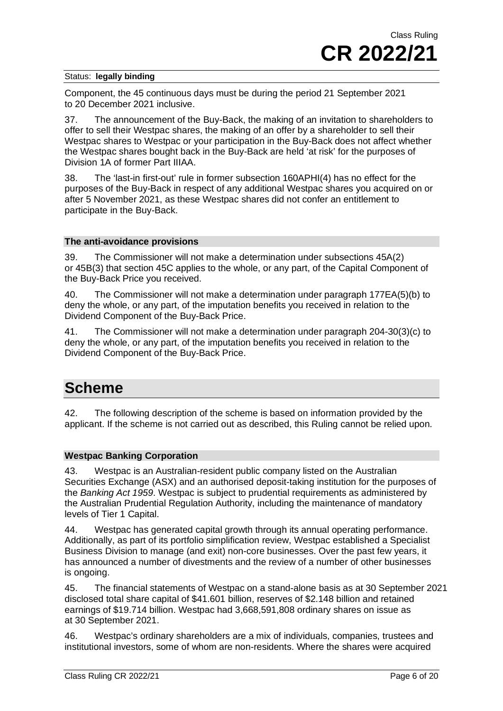Component, the 45 continuous days must be during the period 21 September 2021 to 20 December 2021 inclusive.

37. The announcement of the Buy-Back, the making of an invitation to shareholders to offer to sell their Westpac shares, the making of an offer by a shareholder to sell their Westpac shares to Westpac or your participation in the Buy-Back does not affect whether the Westpac shares bought back in the Buy-Back are held 'at risk' for the purposes of Division 1A of former Part IIIAA.

38. The 'last-in first-out' rule in former subsection 160APHI(4) has no effect for the purposes of the Buy-Back in respect of any additional Westpac shares you acquired on or after 5 November 2021, as these Westpac shares did not confer an entitlement to participate in the Buy-Back.

#### **The anti-avoidance provisions**

39. The Commissioner will not make a determination under subsections 45A(2) or 45B(3) that section 45C applies to the whole, or any part, of the Capital Component of the Buy-Back Price you received.

40. The Commissioner will not make a determination under paragraph 177EA(5)(b) to deny the whole, or any part, of the imputation benefits you received in relation to the Dividend Component of the Buy-Back Price.

41. The Commissioner will not make a determination under paragraph 204-30(3)(c) to deny the whole, or any part, of the imputation benefits you received in relation to the Dividend Component of the Buy-Back Price.

# **Scheme**

42. The following description of the scheme is based on information provided by the applicant. If the scheme is not carried out as described, this Ruling cannot be relied upon.

## **Westpac Banking Corporation**

43. Westpac is an Australian-resident public company listed on the Australian Securities Exchange (ASX) and an authorised deposit-taking institution for the purposes of the *Banking Act 1959*. Westpac is subject to prudential requirements as administered by the Australian Prudential Regulation Authority, including the maintenance of mandatory levels of Tier 1 Capital.

44. Westpac has generated capital growth through its annual operating performance. Additionally, as part of its portfolio simplification review, Westpac established a Specialist Business Division to manage (and exit) non-core businesses. Over the past few years, it has announced a number of divestments and the review of a number of other businesses is ongoing.

45. The financial statements of Westpac on a stand-alone basis as at 30 September 2021 disclosed total share capital of \$41.601 billion, reserves of \$2.148 billion and retained earnings of \$19.714 billion. Westpac had 3,668,591,808 ordinary shares on issue as at 30 September 2021.

46. Westpac's ordinary shareholders are a mix of individuals, companies, trustees and institutional investors, some of whom are non-residents. Where the shares were acquired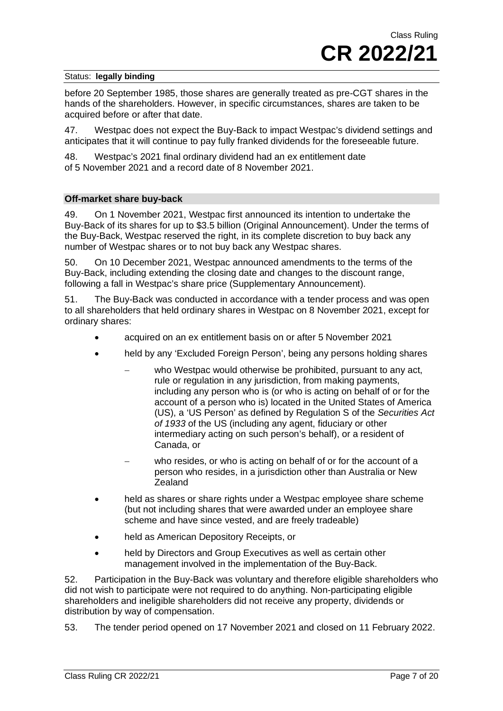before 20 September 1985, those shares are generally treated as pre-CGT shares in the hands of the shareholders. However, in specific circumstances, shares are taken to be acquired before or after that date.

47. Westpac does not expect the Buy-Back to impact Westpac's dividend settings and anticipates that it will continue to pay fully franked dividends for the foreseeable future.

48. Westpac's 2021 final ordinary dividend had an ex entitlement date of 5 November 2021 and a record date of 8 November 2021.

#### **Off-market share buy-back**

49. On 1 November 2021, Westpac first announced its intention to undertake the Buy-Back of its shares for up to \$3.5 billion (Original Announcement). Under the terms of the Buy-Back, Westpac reserved the right, in its complete discretion to buy back any number of Westpac shares or to not buy back any Westpac shares.

50. On 10 December 2021, Westpac announced amendments to the terms of the Buy-Back, including extending the closing date and changes to the discount range, following a fall in Westpac's share price (Supplementary Announcement).

51. The Buy-Back was conducted in accordance with a tender process and was open to all shareholders that held ordinary shares in Westpac on 8 November 2021, except for ordinary shares:

- acquired on an ex entitlement basis on or after 5 November 2021
- held by any 'Excluded Foreign Person', being any persons holding shares
	- − who Westpac would otherwise be prohibited, pursuant to any act, rule or regulation in any jurisdiction, from making payments, including any person who is (or who is acting on behalf of or for the account of a person who is) located in the United States of America (US), a 'US Person' as defined by Regulation S of the *Securities Act of 1933* of the US (including any agent, fiduciary or other intermediary acting on such person's behalf), or a resident of Canada, or
	- who resides, or who is acting on behalf of or for the account of a person who resides, in a jurisdiction other than Australia or New **Zealand**
- held as shares or share rights under a Westpac employee share scheme (but not including shares that were awarded under an employee share scheme and have since vested, and are freely tradeable)
- held as American Depository Receipts, or
- held by Directors and Group Executives as well as certain other management involved in the implementation of the Buy-Back.

52. Participation in the Buy-Back was voluntary and therefore eligible shareholders who did not wish to participate were not required to do anything. Non-participating eligible shareholders and ineligible shareholders did not receive any property, dividends or distribution by way of compensation.

53. The tender period opened on 17 November 2021 and closed on 11 February 2022.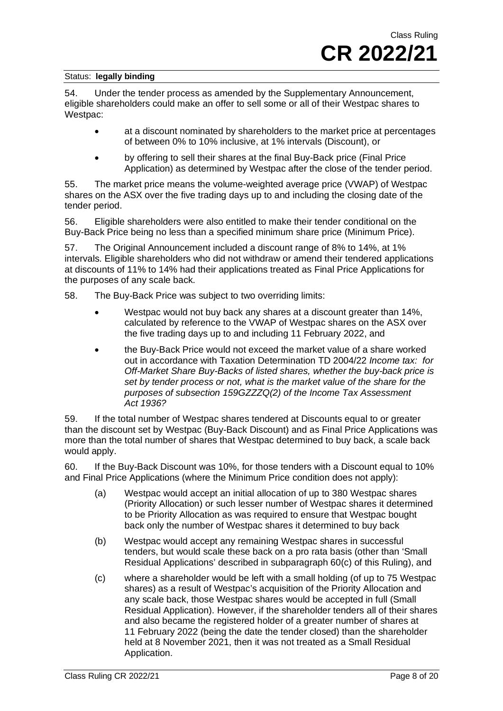54. Under the tender process as amended by the Supplementary Announcement, eligible shareholders could make an offer to sell some or all of their Westpac shares to Westpac:

- at a discount nominated by shareholders to the market price at percentages of between 0% to 10% inclusive, at 1% intervals (Discount), or
- by offering to sell their shares at the final Buy-Back price (Final Price Application) as determined by Westpac after the close of the tender period.

55. The market price means the volume-weighted average price (VWAP) of Westpac shares on the ASX over the five trading days up to and including the closing date of the tender period.

56. Eligible shareholders were also entitled to make their tender conditional on the Buy-Back Price being no less than a specified minimum share price (Minimum Price).

57. The Original Announcement included a discount range of 8% to 14%, at 1% intervals. Eligible shareholders who did not withdraw or amend their tendered applications at discounts of 11% to 14% had their applications treated as Final Price Applications for the purposes of any scale back.

58. The Buy-Back Price was subject to two overriding limits:

- Westpac would not buy back any shares at a discount greater than 14%, calculated by reference to the VWAP of Westpac shares on the ASX over the five trading days up to and including 11 February 2022, and
- the Buy-Back Price would not exceed the market value of a share worked out in accordance with Taxation Determination TD 2004/22 *Income tax: for Off-Market Share Buy-Backs of listed shares, whether the buy-back price is set by tender process or not, what is the market value of the share for the purposes of subsection 159GZZZQ(2) of the Income Tax Assessment Act 1936?*

59. If the total number of Westpac shares tendered at Discounts equal to or greater than the discount set by Westpac (Buy-Back Discount) and as Final Price Applications was more than the total number of shares that Westpac determined to buy back, a scale back would apply.

60. If the Buy-Back Discount was 10%, for those tenders with a Discount equal to 10% and Final Price Applications (where the Minimum Price condition does not apply):

- (a) Westpac would accept an initial allocation of up to 380 Westpac shares (Priority Allocation) or such lesser number of Westpac shares it determined to be Priority Allocation as was required to ensure that Westpac bought back only the number of Westpac shares it determined to buy back
- (b) Westpac would accept any remaining Westpac shares in successful tenders, but would scale these back on a pro rata basis (other than 'Small Residual Applications' described in subparagraph 60(c) of this Ruling), and
- (c) where a shareholder would be left with a small holding (of up to 75 Westpac shares) as a result of Westpac's acquisition of the Priority Allocation and any scale back, those Westpac shares would be accepted in full (Small Residual Application). However, if the shareholder tenders all of their shares and also became the registered holder of a greater number of shares at 11 February 2022 (being the date the tender closed) than the shareholder held at 8 November 2021, then it was not treated as a Small Residual Application.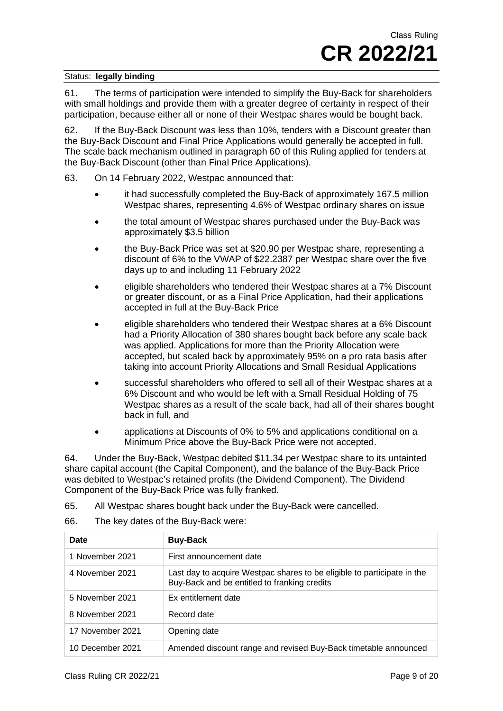61. The terms of participation were intended to simplify the Buy-Back for shareholders with small holdings and provide them with a greater degree of certainty in respect of their participation, because either all or none of their Westpac shares would be bought back.

62. If the Buy-Back Discount was less than 10%, tenders with a Discount greater than the Buy-Back Discount and Final Price Applications would generally be accepted in full. The scale back mechanism outlined in paragraph 60 of this Ruling applied for tenders at the Buy-Back Discount (other than Final Price Applications).

63. On 14 February 2022, Westpac announced that:

- it had successfully completed the Buy-Back of approximately 167.5 million Westpac shares, representing 4.6% of Westpac ordinary shares on issue
- the total amount of Westpac shares purchased under the Buy-Back was approximately \$3.5 billion
- the Buy-Back Price was set at \$20.90 per Westpac share, representing a discount of 6% to the VWAP of \$22.2387 per Westpac share over the five days up to and including 11 February 2022
- eligible shareholders who tendered their Westpac shares at a 7% Discount or greater discount, or as a Final Price Application, had their applications accepted in full at the Buy-Back Price
- eligible shareholders who tendered their Westpac shares at a 6% Discount had a Priority Allocation of 380 shares bought back before any scale back was applied. Applications for more than the Priority Allocation were accepted, but scaled back by approximately 95% on a pro rata basis after taking into account Priority Allocations and Small Residual Applications
- successful shareholders who offered to sell all of their Westpac shares at a 6% Discount and who would be left with a Small Residual Holding of 75 Westpac shares as a result of the scale back, had all of their shares bought back in full, and
- applications at Discounts of 0% to 5% and applications conditional on a Minimum Price above the Buy-Back Price were not accepted.

64. Under the Buy-Back, Westpac debited \$11.34 per Westpac share to its untainted share capital account (the Capital Component), and the balance of the Buy-Back Price was debited to Westpac's retained profits (the Dividend Component). The Dividend Component of the Buy-Back Price was fully franked.

65. All Westpac shares bought back under the Buy-Back were cancelled.

66. The key dates of the Buy-Back were:

| Date             | <b>Buy-Back</b>                                                                                                         |
|------------------|-------------------------------------------------------------------------------------------------------------------------|
| 1 November 2021  | First announcement date                                                                                                 |
| 4 November 2021  | Last day to acquire Westpac shares to be eligible to participate in the<br>Buy-Back and be entitled to franking credits |
| 5 November 2021  | Ex entitlement date                                                                                                     |
| 8 November 2021  | Record date                                                                                                             |
| 17 November 2021 | Opening date                                                                                                            |
| 10 December 2021 | Amended discount range and revised Buy-Back timetable announced                                                         |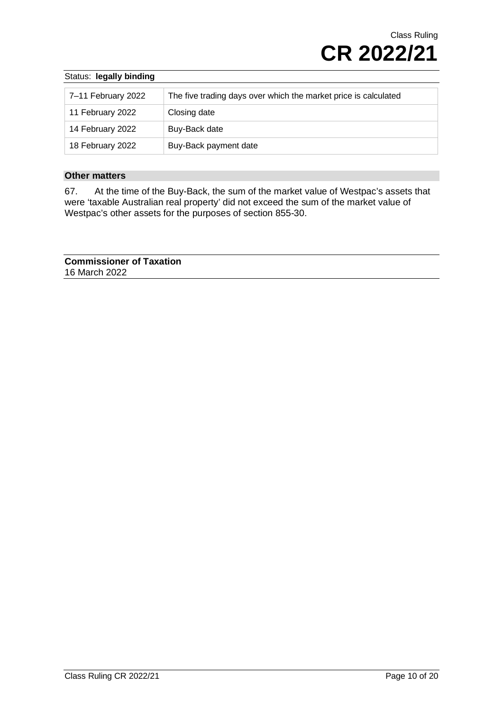| 7-11 February 2022 | The five trading days over which the market price is calculated |
|--------------------|-----------------------------------------------------------------|
| 11 February 2022   | Closing date                                                    |
| 14 February 2022   | Buy-Back date                                                   |
| 18 February 2022   | Buy-Back payment date                                           |

#### **Other matters**

67. At the time of the Buy-Back, the sum of the market value of Westpac's assets that were 'taxable Australian real property' did not exceed the sum of the market value of Westpac's other assets for the purposes of section 855-30.

**Commissioner of Taxation** 16 March 2022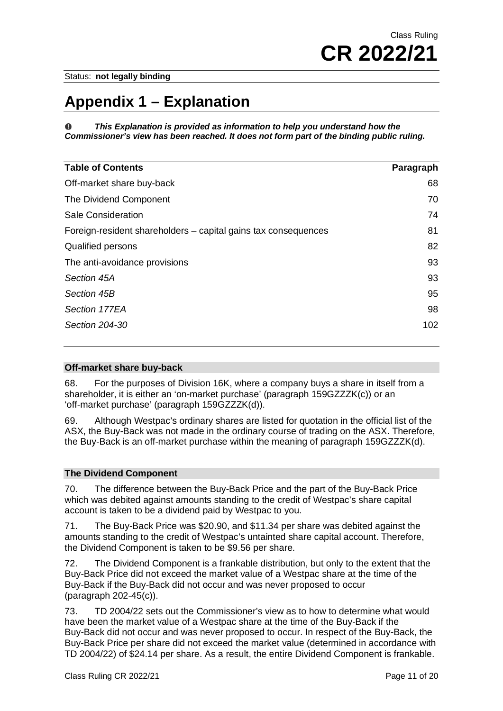# **Appendix 1 – Explanation**

*This Explanation is provided as information to help you understand how the Commissioner's view has been reached. It does not form part of the binding public ruling.*

| <b>Table of Contents</b>                                       | Paragraph |
|----------------------------------------------------------------|-----------|
| Off-market share buy-back                                      | 68        |
| The Dividend Component                                         | 70        |
| <b>Sale Consideration</b>                                      | 74        |
| Foreign-resident shareholders – capital gains tax consequences | 81        |
| Qualified persons                                              | 82        |
| The anti-avoidance provisions                                  | 93        |
| Section 45A                                                    | 93        |
| Section 45B                                                    | 95        |
| Section 177EA                                                  | 98        |
| Section 204-30                                                 | 102       |

#### **Off-market share buy-back**

68. For the purposes of Division 16K, where a company buys a share in itself from a shareholder, it is either an 'on-market purchase' (paragraph 159GZZZK(c)) or an 'off-market purchase' (paragraph 159GZZZK(d)).

69. Although Westpac's ordinary shares are listed for quotation in the official list of the ASX, the Buy-Back was not made in the ordinary course of trading on the ASX. Therefore, the Buy-Back is an off-market purchase within the meaning of paragraph 159GZZZK(d).

## **The Dividend Component**

70. The difference between the Buy-Back Price and the part of the Buy-Back Price which was debited against amounts standing to the credit of Westpac's share capital account is taken to be a dividend paid by Westpac to you.

71. The Buy-Back Price was \$20.90, and \$11.34 per share was debited against the amounts standing to the credit of Westpac's untainted share capital account. Therefore, the Dividend Component is taken to be \$9.56 per share.

72. The Dividend Component is a frankable distribution, but only to the extent that the Buy-Back Price did not exceed the market value of a Westpac share at the time of the Buy-Back if the Buy-Back did not occur and was never proposed to occur (paragraph 202-45(c)).

73. TD 2004/22 sets out the Commissioner's view as to how to determine what would have been the market value of a Westpac share at the time of the Buy-Back if the Buy-Back did not occur and was never proposed to occur. In respect of the Buy-Back, the Buy-Back Price per share did not exceed the market value (determined in accordance with TD 2004/22) of \$24.14 per share. As a result, the entire Dividend Component is frankable.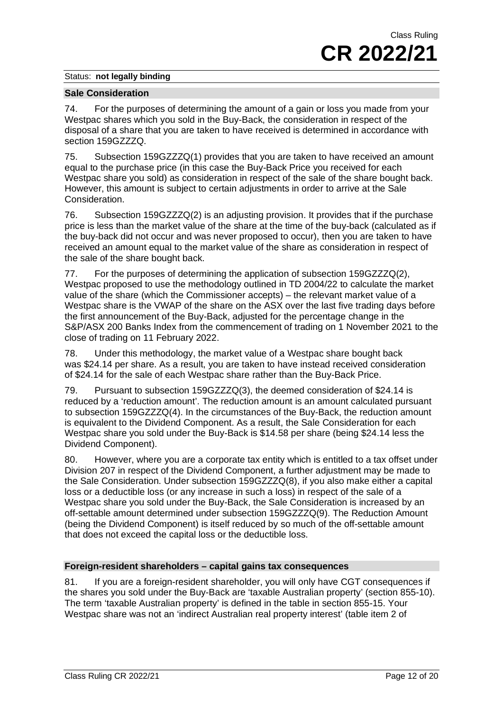#### **Sale Consideration**

74. For the purposes of determining the amount of a gain or loss you made from your Westpac shares which you sold in the Buy-Back, the consideration in respect of the disposal of a share that you are taken to have received is determined in accordance with section 159GZZZQ.

75. Subsection 159GZZZQ(1) provides that you are taken to have received an amount equal to the purchase price (in this case the Buy-Back Price you received for each Westpac share you sold) as consideration in respect of the sale of the share bought back. However, this amount is subject to certain adjustments in order to arrive at the Sale Consideration.

76. Subsection 159GZZZQ(2) is an adjusting provision. It provides that if the purchase price is less than the market value of the share at the time of the buy-back (calculated as if the buy-back did not occur and was never proposed to occur), then you are taken to have received an amount equal to the market value of the share as consideration in respect of the sale of the share bought back.

77. For the purposes of determining the application of subsection 159GZZZQ(2), Westpac proposed to use the methodology outlined in TD 2004/22 to calculate the market value of the share (which the Commissioner accepts) – the relevant market value of a Westpac share is the VWAP of the share on the ASX over the last five trading days before the first announcement of the Buy-Back, adjusted for the percentage change in the S&P/ASX 200 Banks Index from the commencement of trading on 1 November 2021 to the close of trading on 11 February 2022.

78. Under this methodology, the market value of a Westpac share bought back was \$24.14 per share. As a result, you are taken to have instead received consideration of \$24.14 for the sale of each Westpac share rather than the Buy-Back Price.

79. Pursuant to subsection 159GZZZQ(3), the deemed consideration of \$24.14 is reduced by a 'reduction amount'. The reduction amount is an amount calculated pursuant to subsection 159GZZZQ(4). In the circumstances of the Buy-Back, the reduction amount is equivalent to the Dividend Component. As a result, the Sale Consideration for each Westpac share you sold under the Buy-Back is \$14.58 per share (being \$24.14 less the Dividend Component).

80. However, where you are a corporate tax entity which is entitled to a tax offset under Division 207 in respect of the Dividend Component, a further adjustment may be made to the Sale Consideration. Under subsection 159GZZZQ(8), if you also make either a capital loss or a deductible loss (or any increase in such a loss) in respect of the sale of a Westpac share you sold under the Buy-Back, the Sale Consideration is increased by an off-settable amount determined under subsection 159GZZZQ(9). The Reduction Amount (being the Dividend Component) is itself reduced by so much of the off-settable amount that does not exceed the capital loss or the deductible loss.

## **Foreign-resident shareholders – capital gains tax consequences**

81. If you are a foreign-resident shareholder, you will only have CGT consequences if the shares you sold under the Buy-Back are 'taxable Australian property' (section 855-10). The term 'taxable Australian property' is defined in the table in section 855-15. Your Westpac share was not an 'indirect Australian real property interest' (table item 2 of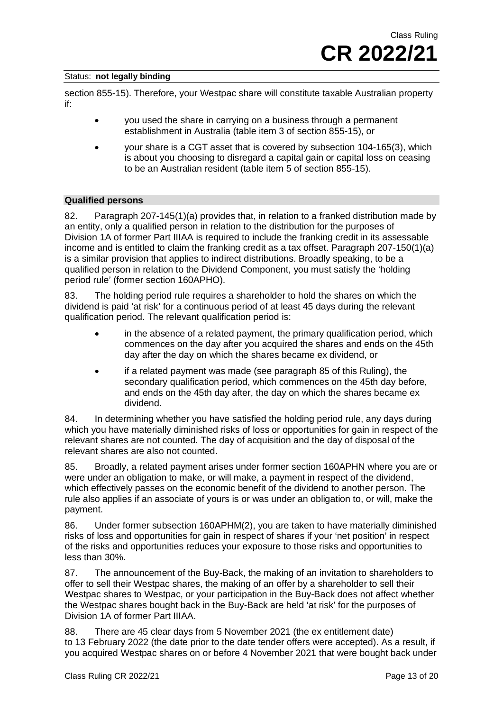section 855-15). Therefore, your Westpac share will constitute taxable Australian property if:

- you used the share in carrying on a business through a permanent establishment in Australia (table item 3 of section 855-15), or
- your share is a CGT asset that is covered by subsection 104-165(3), which is about you choosing to disregard a capital gain or capital loss on ceasing to be an Australian resident (table item 5 of section 855-15).

#### **Qualified persons**

82. Paragraph 207-145(1)(a) provides that, in relation to a franked distribution made by an entity, only a qualified person in relation to the distribution for the purposes of Division 1A of former Part IIIAA is required to include the franking credit in its assessable income and is entitled to claim the franking credit as a tax offset. Paragraph 207-150(1)(a) is a similar provision that applies to indirect distributions. Broadly speaking, to be a qualified person in relation to the Dividend Component, you must satisfy the 'holding period rule' (former section 160APHO).

83. The holding period rule requires a shareholder to hold the shares on which the dividend is paid 'at risk' for a continuous period of at least 45 days during the relevant qualification period. The relevant qualification period is:

- in the absence of a related payment, the primary qualification period, which commences on the day after you acquired the shares and ends on the 45th day after the day on which the shares became ex dividend, or
- if a related payment was made (see paragraph 85 of this Ruling), the secondary qualification period, which commences on the 45th day before, and ends on the 45th day after, the day on which the shares became ex dividend.

84. In determining whether you have satisfied the holding period rule, any days during which you have materially diminished risks of loss or opportunities for gain in respect of the relevant shares are not counted. The day of acquisition and the day of disposal of the relevant shares are also not counted.

85. Broadly, a related payment arises under former section 160APHN where you are or were under an obligation to make, or will make, a payment in respect of the dividend, which effectively passes on the economic benefit of the dividend to another person. The rule also applies if an associate of yours is or was under an obligation to, or will, make the payment.

86. Under former subsection 160APHM(2), you are taken to have materially diminished risks of loss and opportunities for gain in respect of shares if your 'net position' in respect of the risks and opportunities reduces your exposure to those risks and opportunities to less than 30%.

87. The announcement of the Buy-Back, the making of an invitation to shareholders to offer to sell their Westpac shares, the making of an offer by a shareholder to sell their Westpac shares to Westpac, or your participation in the Buy-Back does not affect whether the Westpac shares bought back in the Buy-Back are held 'at risk' for the purposes of Division 1A of former Part IIIAA.

88. There are 45 clear days from 5 November 2021 (the ex entitlement date) to 13 February 2022 (the date prior to the date tender offers were accepted). As a result, if you acquired Westpac shares on or before 4 November 2021 that were bought back under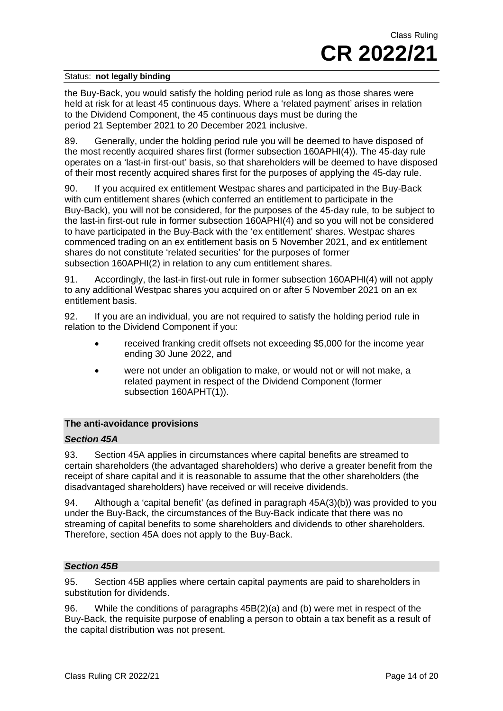the Buy-Back, you would satisfy the holding period rule as long as those shares were held at risk for at least 45 continuous days. Where a 'related payment' arises in relation to the Dividend Component, the 45 continuous days must be during the period 21 September 2021 to 20 December 2021 inclusive.

89. Generally, under the holding period rule you will be deemed to have disposed of the most recently acquired shares first (former subsection 160APHI(4)). The 45-day rule operates on a 'last-in first-out' basis, so that shareholders will be deemed to have disposed of their most recently acquired shares first for the purposes of applying the 45-day rule.

90. If you acquired ex entitlement Westpac shares and participated in the Buy-Back with cum entitlement shares (which conferred an entitlement to participate in the Buy-Back), you will not be considered, for the purposes of the 45-day rule, to be subject to the last-in first-out rule in former subsection 160APHI(4) and so you will not be considered to have participated in the Buy-Back with the 'ex entitlement' shares. Westpac shares commenced trading on an ex entitlement basis on 5 November 2021, and ex entitlement shares do not constitute 'related securities' for the purposes of former subsection 160APHI(2) in relation to any cum entitlement shares.

91. Accordingly, the last-in first-out rule in former subsection 160APHI(4) will not apply to any additional Westpac shares you acquired on or after 5 November 2021 on an ex entitlement basis.

92. If you are an individual, you are not required to satisfy the holding period rule in relation to the Dividend Component if you:

- received franking credit offsets not exceeding \$5,000 for the income year ending 30 June 2022, and
- were not under an obligation to make, or would not or will not make, a related payment in respect of the Dividend Component (former subsection 160APHT(1)).

#### **The anti-avoidance provisions**

#### *Section 45A*

93. Section 45A applies in circumstances where capital benefits are streamed to certain shareholders (the advantaged shareholders) who derive a greater benefit from the receipt of share capital and it is reasonable to assume that the other shareholders (the disadvantaged shareholders) have received or will receive dividends.

94. Although a 'capital benefit' (as defined in paragraph 45A(3)(b)) was provided to you under the Buy-Back, the circumstances of the Buy-Back indicate that there was no streaming of capital benefits to some shareholders and dividends to other shareholders. Therefore, section 45A does not apply to the Buy-Back.

#### *Section 45B*

95. Section 45B applies where certain capital payments are paid to shareholders in substitution for dividends.

96. While the conditions of paragraphs 45B(2)(a) and (b) were met in respect of the Buy-Back, the requisite purpose of enabling a person to obtain a tax benefit as a result of the capital distribution was not present.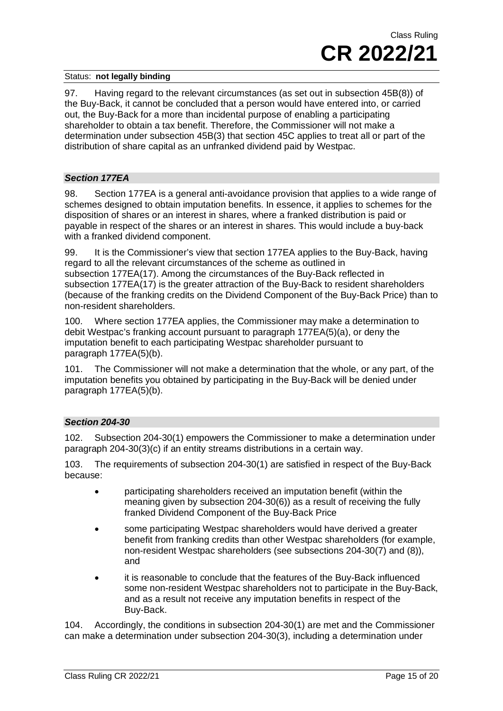97. Having regard to the relevant circumstances (as set out in subsection 45B(8)) of the Buy-Back, it cannot be concluded that a person would have entered into, or carried out, the Buy-Back for a more than incidental purpose of enabling a participating shareholder to obtain a tax benefit. Therefore, the Commissioner will not make a determination under subsection 45B(3) that section 45C applies to treat all or part of the distribution of share capital as an unfranked dividend paid by Westpac.

#### *Section 177EA*

98. Section 177EA is a general anti-avoidance provision that applies to a wide range of schemes designed to obtain imputation benefits. In essence, it applies to schemes for the disposition of shares or an interest in shares, where a franked distribution is paid or payable in respect of the shares or an interest in shares. This would include a buy-back with a franked dividend component.

99. It is the Commissioner's view that section 177EA applies to the Buy-Back, having regard to all the relevant circumstances of the scheme as outlined in subsection 177EA(17). Among the circumstances of the Buy-Back reflected in subsection 177EA(17) is the greater attraction of the Buy-Back to resident shareholders (because of the franking credits on the Dividend Component of the Buy-Back Price) than to non-resident shareholders.

100. Where section 177EA applies, the Commissioner may make a determination to debit Westpac's franking account pursuant to paragraph 177EA(5)(a), or deny the imputation benefit to each participating Westpac shareholder pursuant to paragraph 177EA(5)(b).

101. The Commissioner will not make a determination that the whole, or any part, of the imputation benefits you obtained by participating in the Buy-Back will be denied under paragraph 177EA(5)(b).

## *Section 204-30*

102. Subsection 204-30(1) empowers the Commissioner to make a determination under paragraph 204-30(3)(c) if an entity streams distributions in a certain way.

103. The requirements of subsection 204-30(1) are satisfied in respect of the Buy-Back because:

- participating shareholders received an imputation benefit (within the meaning given by subsection 204-30(6)) as a result of receiving the fully franked Dividend Component of the Buy-Back Price
- some participating Westpac shareholders would have derived a greater benefit from franking credits than other Westpac shareholders (for example, non-resident Westpac shareholders (see subsections 204-30(7) and (8)), and
- it is reasonable to conclude that the features of the Buy-Back influenced some non-resident Westpac shareholders not to participate in the Buy-Back, and as a result not receive any imputation benefits in respect of the Buy-Back.

104. Accordingly, the conditions in subsection 204-30(1) are met and the Commissioner can make a determination under subsection 204-30(3), including a determination under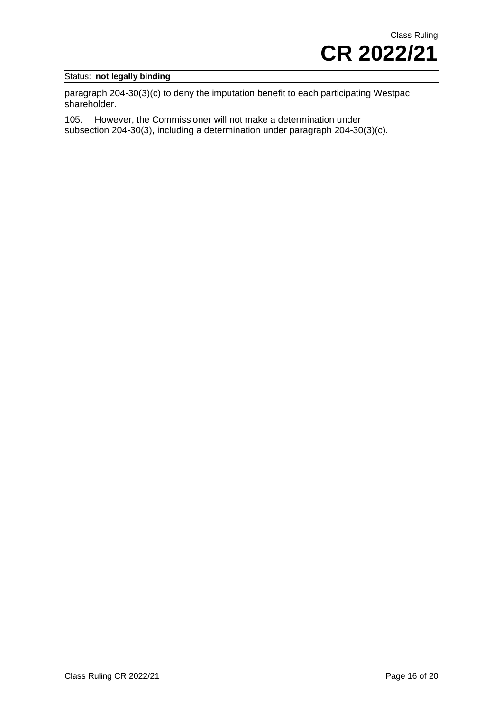paragraph 204-30(3)(c) to deny the imputation benefit to each participating Westpac shareholder.

105. However, the Commissioner will not make a determination under subsection 204-30(3), including a determination under paragraph 204-30(3)(c).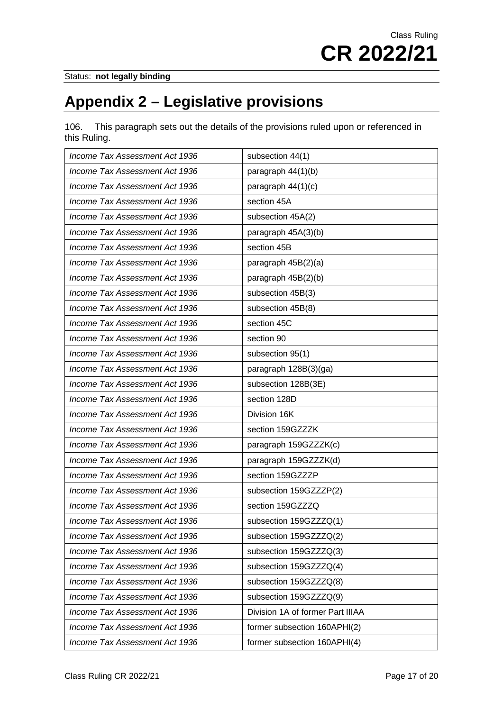# **Appendix 2 – Legislative provisions**

106. This paragraph sets out the details of the provisions ruled upon or referenced in this Ruling.

| Income Tax Assessment Act 1936 | subsection 44(1)                 |
|--------------------------------|----------------------------------|
| Income Tax Assessment Act 1936 | paragraph 44(1)(b)               |
| Income Tax Assessment Act 1936 | paragraph 44(1)(c)               |
| Income Tax Assessment Act 1936 | section 45A                      |
| Income Tax Assessment Act 1936 | subsection 45A(2)                |
| Income Tax Assessment Act 1936 | paragraph 45A(3)(b)              |
| Income Tax Assessment Act 1936 | section 45B                      |
| Income Tax Assessment Act 1936 | paragraph 45B(2)(a)              |
| Income Tax Assessment Act 1936 | paragraph 45B(2)(b)              |
| Income Tax Assessment Act 1936 | subsection 45B(3)                |
| Income Tax Assessment Act 1936 | subsection 45B(8)                |
| Income Tax Assessment Act 1936 | section 45C                      |
| Income Tax Assessment Act 1936 | section 90                       |
| Income Tax Assessment Act 1936 | subsection 95(1)                 |
| Income Tax Assessment Act 1936 | paragraph 128B(3)(ga)            |
| Income Tax Assessment Act 1936 | subsection 128B(3E)              |
| Income Tax Assessment Act 1936 | section 128D                     |
| Income Tax Assessment Act 1936 | Division 16K                     |
| Income Tax Assessment Act 1936 | section 159GZZZK                 |
| Income Tax Assessment Act 1936 | paragraph 159GZZZK(c)            |
| Income Tax Assessment Act 1936 | paragraph 159GZZZK(d)            |
| Income Tax Assessment Act 1936 | section 159GZZZP                 |
| Income Tax Assessment Act 1936 | subsection 159GZZZP(2)           |
| Income Tax Assessment Act 1936 | section 159GZZZQ                 |
| Income Tax Assessment Act 1936 | subsection 159GZZZQ(1)           |
| Income Tax Assessment Act 1936 | subsection 159GZZZQ(2)           |
| Income Tax Assessment Act 1936 | subsection 159GZZZQ(3)           |
| Income Tax Assessment Act 1936 | subsection 159GZZZQ(4)           |
| Income Tax Assessment Act 1936 | subsection 159GZZZQ(8)           |
| Income Tax Assessment Act 1936 | subsection 159GZZZQ(9)           |
| Income Tax Assessment Act 1936 | Division 1A of former Part IIIAA |
| Income Tax Assessment Act 1936 | former subsection 160APHI(2)     |
| Income Tax Assessment Act 1936 | former subsection 160APHI(4)     |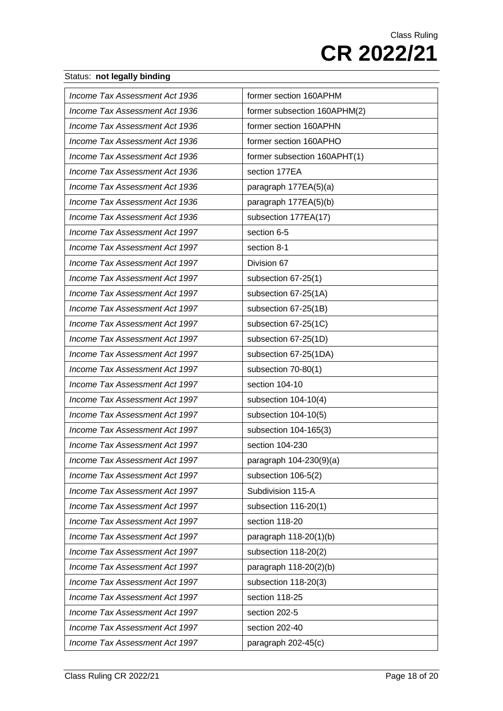| Income Tax Assessment Act 1936 | former section 160APHM       |
|--------------------------------|------------------------------|
| Income Tax Assessment Act 1936 | former subsection 160APHM(2) |
| Income Tax Assessment Act 1936 | former section 160APHN       |
| Income Tax Assessment Act 1936 | former section 160APHO       |
| Income Tax Assessment Act 1936 | former subsection 160APHT(1) |
| Income Tax Assessment Act 1936 | section 177EA                |
| Income Tax Assessment Act 1936 | paragraph 177EA(5)(a)        |
| Income Tax Assessment Act 1936 | paragraph 177EA(5)(b)        |
| Income Tax Assessment Act 1936 | subsection 177EA(17)         |
| Income Tax Assessment Act 1997 | section 6-5                  |
| Income Tax Assessment Act 1997 | section 8-1                  |
| Income Tax Assessment Act 1997 | Division 67                  |
| Income Tax Assessment Act 1997 | subsection 67-25(1)          |
| Income Tax Assessment Act 1997 | subsection 67-25(1A)         |
| Income Tax Assessment Act 1997 | subsection 67-25(1B)         |
| Income Tax Assessment Act 1997 | subsection 67-25(1C)         |
| Income Tax Assessment Act 1997 | subsection 67-25(1D)         |
| Income Tax Assessment Act 1997 | subsection 67-25(1DA)        |
| Income Tax Assessment Act 1997 | subsection 70-80(1)          |
| Income Tax Assessment Act 1997 | section 104-10               |
| Income Tax Assessment Act 1997 | subsection 104-10(4)         |
| Income Tax Assessment Act 1997 | subsection 104-10(5)         |
| Income Tax Assessment Act 1997 | subsection 104-165(3)        |
| Income Tax Assessment Act 1997 | section 104-230              |
| Income Tax Assessment Act 1997 | paragraph 104-230(9)(a)      |
| Income Tax Assessment Act 1997 | subsection 106-5(2)          |
| Income Tax Assessment Act 1997 | Subdivision 115-A            |
| Income Tax Assessment Act 1997 | subsection 116-20(1)         |
| Income Tax Assessment Act 1997 | section 118-20               |
| Income Tax Assessment Act 1997 | paragraph 118-20(1)(b)       |
| Income Tax Assessment Act 1997 | subsection 118-20(2)         |
| Income Tax Assessment Act 1997 | paragraph 118-20(2)(b)       |
| Income Tax Assessment Act 1997 | subsection 118-20(3)         |
| Income Tax Assessment Act 1997 | section 118-25               |
| Income Tax Assessment Act 1997 | section 202-5                |
| Income Tax Assessment Act 1997 | section 202-40               |
| Income Tax Assessment Act 1997 | paragraph 202-45(c)          |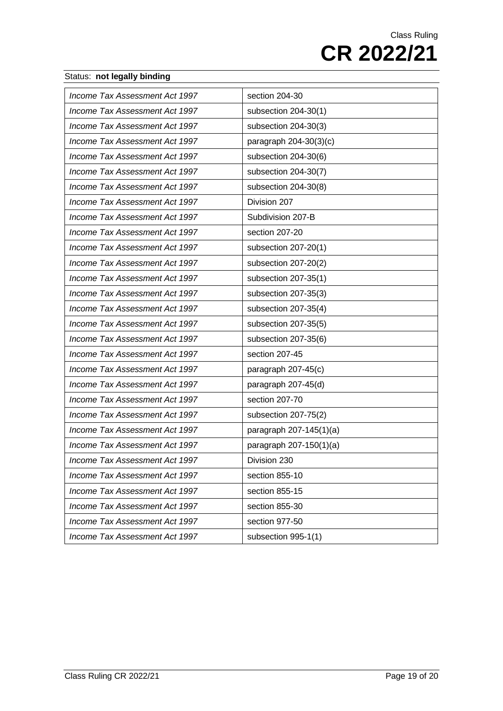| Income Tax Assessment Act 1997 | section 204-30          |
|--------------------------------|-------------------------|
| Income Tax Assessment Act 1997 | subsection 204-30(1)    |
| Income Tax Assessment Act 1997 | subsection 204-30(3)    |
| Income Tax Assessment Act 1997 | paragraph 204-30(3)(c)  |
| Income Tax Assessment Act 1997 | subsection 204-30(6)    |
| Income Tax Assessment Act 1997 | subsection 204-30(7)    |
| Income Tax Assessment Act 1997 | subsection 204-30(8)    |
| Income Tax Assessment Act 1997 | Division 207            |
| Income Tax Assessment Act 1997 | Subdivision 207-B       |
| Income Tax Assessment Act 1997 | section 207-20          |
| Income Tax Assessment Act 1997 | subsection 207-20(1)    |
| Income Tax Assessment Act 1997 | subsection 207-20(2)    |
| Income Tax Assessment Act 1997 | subsection 207-35(1)    |
| Income Tax Assessment Act 1997 | subsection 207-35(3)    |
| Income Tax Assessment Act 1997 | subsection 207-35(4)    |
| Income Tax Assessment Act 1997 | subsection 207-35(5)    |
| Income Tax Assessment Act 1997 | subsection 207-35(6)    |
| Income Tax Assessment Act 1997 | section 207-45          |
| Income Tax Assessment Act 1997 | paragraph 207-45(c)     |
| Income Tax Assessment Act 1997 | paragraph 207-45(d)     |
| Income Tax Assessment Act 1997 | section 207-70          |
| Income Tax Assessment Act 1997 | subsection 207-75(2)    |
| Income Tax Assessment Act 1997 | paragraph 207-145(1)(a) |
| Income Tax Assessment Act 1997 | paragraph 207-150(1)(a) |
| Income Tax Assessment Act 1997 | Division 230            |
| Income Tax Assessment Act 1997 | section 855-10          |
| Income Tax Assessment Act 1997 | section 855-15          |
| Income Tax Assessment Act 1997 | section 855-30          |
| Income Tax Assessment Act 1997 | section 977-50          |
| Income Tax Assessment Act 1997 | subsection 995-1(1)     |